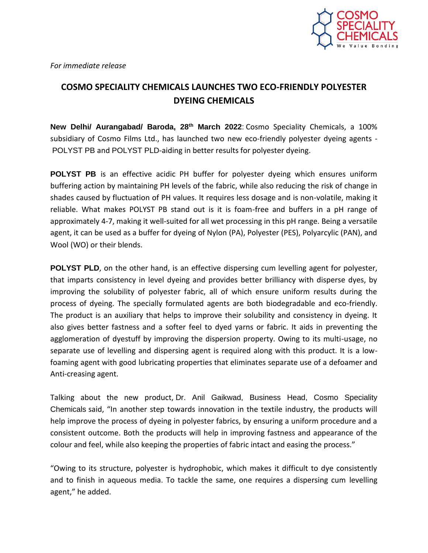

*For immediate release*

## **COSMO SPECIALITY CHEMICALS LAUNCHES TWO ECO-FRIENDLY POLYESTER DYEING CHEMICALS**

**New Delhi/ Aurangabad/ Baroda, 28th March 2022**: Cosmo Speciality Chemicals, a 100% subsidiary of Cosmo Films Ltd., has launched two new eco-friendly polyester dyeing agents - POLYST PB and POLYST PLD-aiding in better results for polyester dyeing.

**POLYST PB** is an effective acidic PH buffer for polyester dyeing which ensures uniform buffering action by maintaining PH levels of the fabric, while also reducing the risk of change in shades caused by fluctuation of PH values. It requires less dosage and is non-volatile, making it reliable. What makes POLYST PB stand out is it is foam-free and buffers in a pH range of approximately 4-7, making it well-suited for all wet processing in this pH range. Being a versatile agent, it can be used as a buffer for dyeing of Nylon (PA), Polyester (PES), Polyarcylic (PAN), and Wool (WO) or their blends.

**POLYST PLD**, on the other hand, is an effective dispersing cum levelling agent for polyester, that imparts consistency in level dyeing and provides better brilliancy with disperse dyes, by improving the solubility of polyester fabric, all of which ensure uniform results during the process of dyeing. The specially formulated agents are both biodegradable and eco-friendly. The product is an auxiliary that helps to improve their solubility and consistency in dyeing. It also gives better fastness and a softer feel to dyed yarns or fabric. It aids in preventing the agglomeration of dyestuff by improving the dispersion property. Owing to its multi-usage, no separate use of levelling and dispersing agent is required along with this product. It is a lowfoaming agent with good lubricating properties that eliminates separate use of a defoamer and Anti-creasing agent.

Talking about the new product, Dr. Anil Gaikwad, Business Head, Cosmo Speciality Chemicals said, "In another step towards innovation in the textile industry, the products will help improve the process of dyeing in polyester fabrics, by ensuring a uniform procedure and a consistent outcome. Both the products will help in improving fastness and appearance of the colour and feel, while also keeping the properties of fabric intact and easing the process."

"Owing to its structure, polyester is hydrophobic, which makes it difficult to dye consistently and to finish in aqueous media. To tackle the same, one requires a dispersing cum levelling agent," he added.